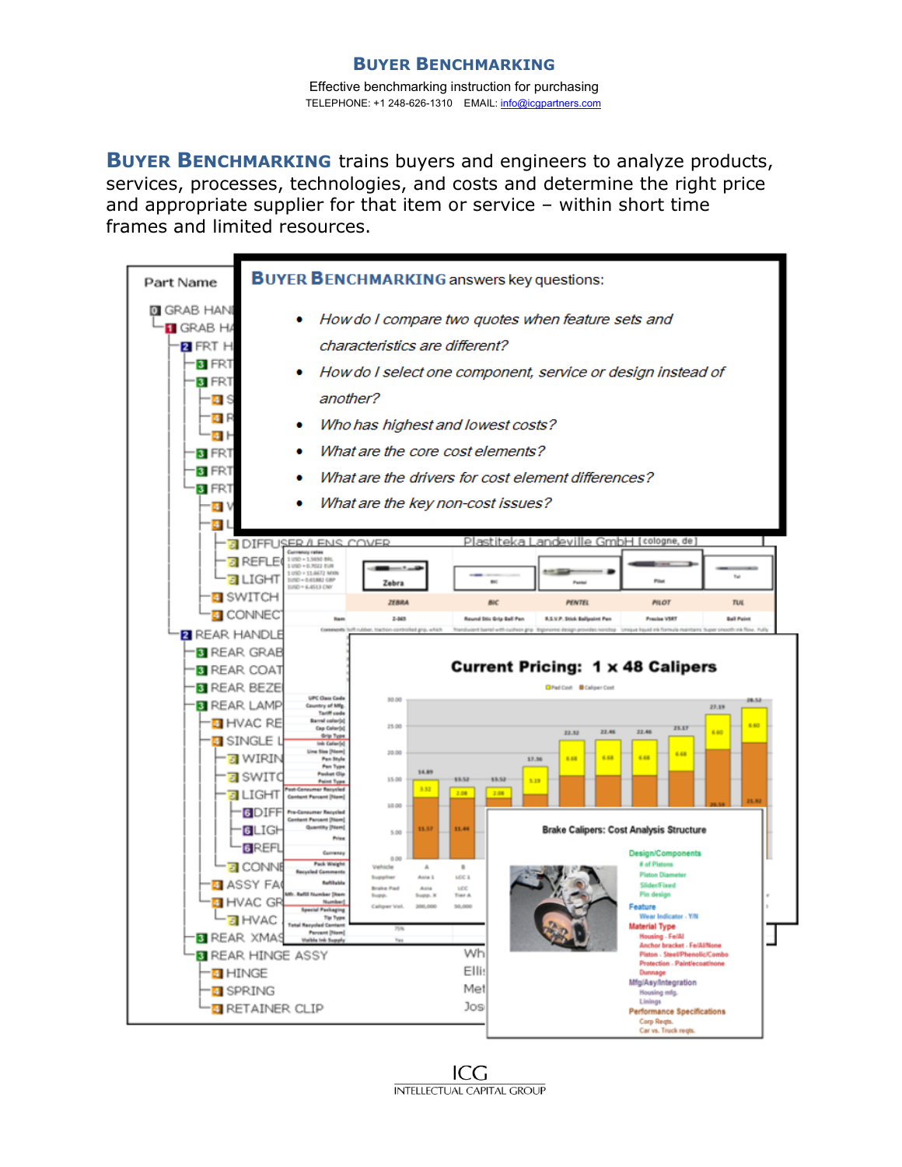#### **BUYER BENCHMARKING** Effective benchmarking instruction for purchasing TELEPHONE: +1 248-626-1310 EMAIL: info@icgpartners.com

**BUYER BENCHMARKING** trains buyers and engineers to analyze products, services, processes, technologies, and costs and determine the right price and appropriate supplier for that item or service – within short time frames and limited resources.



ICG **INTELLECTUAL CAPITAL GROUP**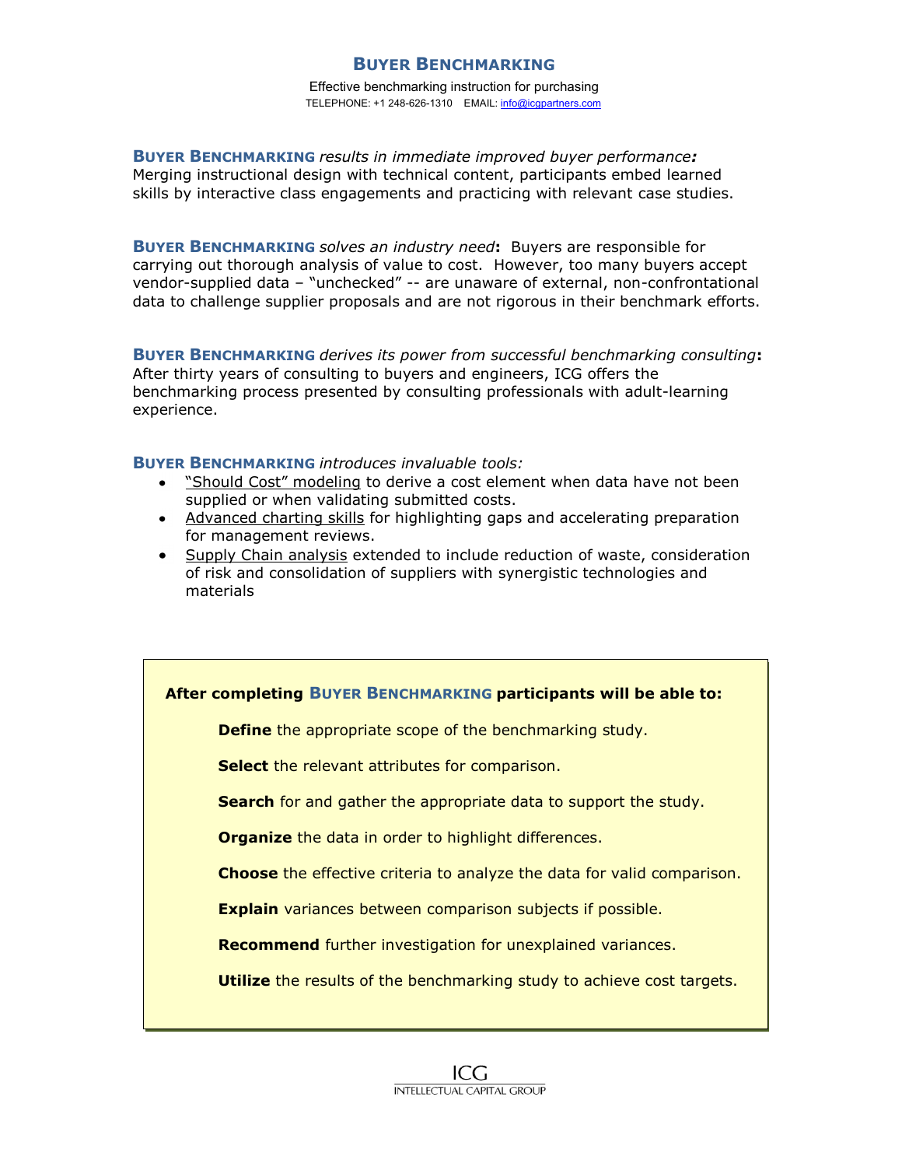## **BUYER BENCHMARKING**

Effective benchmarking instruction for purchasing TELEPHONE: +1 248-626-1310 EMAIL: info@icgpartners.com

**BUYER BENCHMARKING** *results in immediate improved buyer performance:*  Merging instructional design with technical content, participants embed learned skills by interactive class engagements and practicing with relevant case studies.

**BUYER BENCHMARKING** *solves an industry need***:** Buyers are responsible for carrying out thorough analysis of value to cost. However, too many buyers accept vendor-supplied data – "unchecked" -- are unaware of external, non-confrontational data to challenge supplier proposals and are not rigorous in their benchmark efforts.

**BUYER BENCHMARKING** *derives its power from successful benchmarking consulting***:** After thirty years of consulting to buyers and engineers, ICG offers the benchmarking process presented by consulting professionals with adult-learning experience.

**BUYER BENCHMARKING** *introduces invaluable tools:*

- "Should Cost" modeling to derive a cost element when data have not been supplied or when validating submitted costs.
- Advanced charting skills for highlighting gaps and accelerating preparation for management reviews.
- Supply Chain analysis extended to include reduction of waste, consideration of risk and consolidation of suppliers with synergistic technologies and materials

### **After completing BUYER BENCHMARKING participants will be able to:**

**Define** the appropriate scope of the benchmarking study.

**Select** the relevant attributes for comparison.

**Search** for and gather the appropriate data to support the study.

**Organize** the data in order to highlight differences.

**Choose** the effective criteria to analyze the data for valid comparison.

**Explain** variances between comparison subjects if possible.

**Recommend** further investigation for unexplained variances.

**Utilize** the results of the benchmarking study to achieve cost targets.

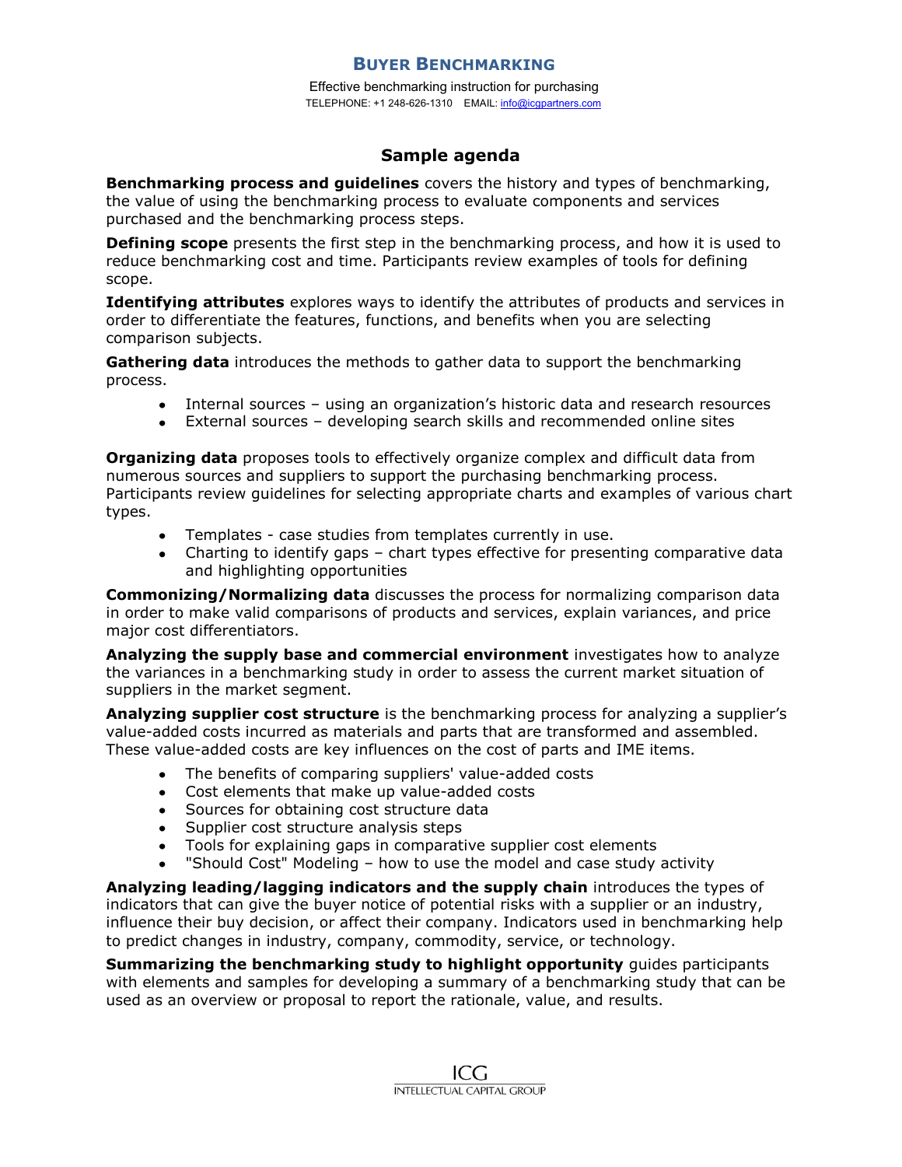## **BUYER BENCHMARKING**

Effective benchmarking instruction for purchasing TELEPHONE: +1 248-626-1310 EMAIL: info@icgpartners.com

## **Sample agenda**

**Benchmarking process and guidelines** covers the history and types of benchmarking, the value of using the benchmarking process to evaluate components and services purchased and the benchmarking process steps.

**Defining scope** presents the first step in the benchmarking process, and how it is used to reduce benchmarking cost and time. Participants review examples of tools for defining scope.

**Identifying attributes** explores ways to identify the attributes of products and services in order to differentiate the features, functions, and benefits when you are selecting comparison subjects.

**Gathering data** introduces the methods to gather data to support the benchmarking process.

- Internal sources using an organization's historic data and research resources
- External sources developing search skills and recommended online sites

**Organizing data** proposes tools to effectively organize complex and difficult data from numerous sources and suppliers to support the purchasing benchmarking process. Participants review guidelines for selecting appropriate charts and examples of various chart types.

- Templates case studies from templates currently in use.
- Charting to identify gaps chart types effective for presenting comparative data and highlighting opportunities

**Commonizing/Normalizing data** discusses the process for normalizing comparison data in order to make valid comparisons of products and services, explain variances, and price major cost differentiators.

**Analyzing the supply base and commercial environment** investigates how to analyze the variances in a benchmarking study in order to assess the current market situation of suppliers in the market segment.

**Analyzing supplier cost structure** is the benchmarking process for analyzing a supplier's value-added costs incurred as materials and parts that are transformed and assembled. These value-added costs are key influences on the cost of parts and IME items.

- The benefits of comparing suppliers' value-added costs
- Cost elements that make up value-added costs
- Sources for obtaining cost structure data
- Supplier cost structure analysis steps
- Tools for explaining gaps in comparative supplier cost elements  $\bullet$
- "Should Cost" Modeling how to use the model and case study activity

**Analyzing leading/lagging indicators and the supply chain** introduces the types of indicators that can give the buyer notice of potential risks with a supplier or an industry, influence their buy decision, or affect their company. Indicators used in benchmarking help to predict changes in industry, company, commodity, service, or technology.

**Summarizing the benchmarking study to highlight opportunity** guides participants with elements and samples for developing a summary of a benchmarking study that can be used as an overview or proposal to report the rationale, value, and results.